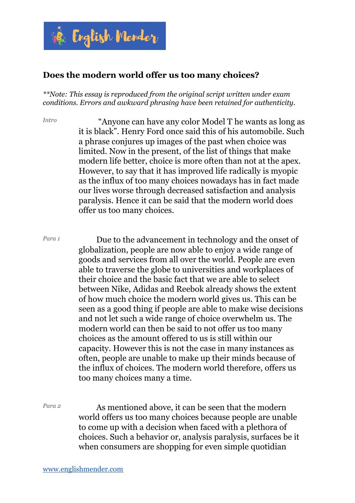

## **Does the modern world offer us too many choices?**

*\*\*Note: This essay is reproduced from the original script written under exam conditions. Errors and awkward phrasing have been retained for authenticity.*

*Intro* "Anyone can have any color Model T he wants as long as it is black". Henry Ford once said this of his automobile. Such a phrase conjures up images of the past when choice was limited. Now in the present, of the list of things that make modern life better, choice is more often than not at the apex. However, to say that it has improved life radically is myopic as the influx of too many choices nowadays has in fact made our lives worse through decreased satisfaction and analysis paralysis. Hence it can be said that the modern world does offer us too many choices.

*Para 1* Due to the advancement in technology and the onset of globalization, people are now able to enjoy a wide range of goods and services from all over the world. People are even able to traverse the globe to universities and workplaces of their choice and the basic fact that we are able to select between Nike, Adidas and Reebok already shows the extent of how much choice the modern world gives us. This can be seen as a good thing if people are able to make wise decisions and not let such a wide range of choice overwhelm us. The modern world can then be said to not offer us too many choices as the amount offered to us is still within our capacity. However this is not the case in many instances as often, people are unable to make up their minds because of the influx of choices. The modern world therefore, offers us too many choices many a time.

*Para 2* As mentioned above, it can be seen that the modern world offers us too many choices because people are unable to come up with a decision when faced with a plethora of choices. Such a behavior or, analysis paralysis, surfaces be it when consumers are shopping for even simple quotidian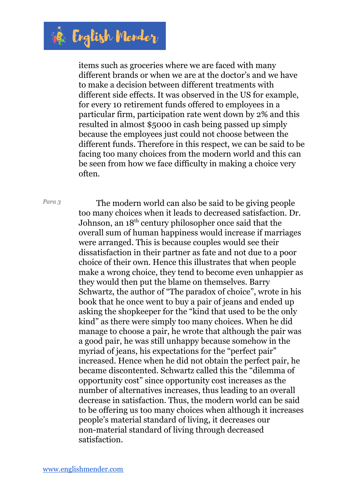

items such as groceries where we are faced with many different brands or when we are at the doctor's and we have to make a decision between different treatments with different side effects. It was observed in the US for example, for every 10 retirement funds offered to employees in a particular firm, participation rate went down by 2% and this resulted in almost \$5000 in cash being passed up simply because the employees just could not choose between the different funds. Therefore in this respect, we can be said to be facing too many choices from the modern world and this can be seen from how we face difficulty in making a choice very often.

*Para <sup>3</sup>* The modern world can also be said to be giving people too many choices when it leads to decreased satisfaction. Dr. Johnson, an 18<sup>th</sup> century philosopher once said that the overall sum of human happiness would increase if marriages were arranged. This is because couples would see their dissatisfaction in their partner as fate and not due to a poor choice of their own. Hence this illustrates that when people make a wrong choice, they tend to become even unhappier as they would then put the blame on themselves. Barry Schwartz, the author of "The paradox of choice", wrote in his book that he once went to buy a pair of jeans and ended up asking the shopkeeper for the "kind that used to be the only kind" as there were simply too many choices. When he did manage to choose a pair, he wrote that although the pair was a good pair, he was still unhappy because somehow in the myriad of jeans, his expectations for the "perfect pair" increased. Hence when he did not obtain the perfect pair, he became discontented. Schwartz called this the "dilemma of opportunity cost" since opportunity cost increases as the number of alternatives increases, thus leading to an overall decrease in satisfaction. Thus, the modern world can be said to be offering us too many choices when although it increases people's material standard of living, it decreases our non-material standard of living through decreased satisfaction.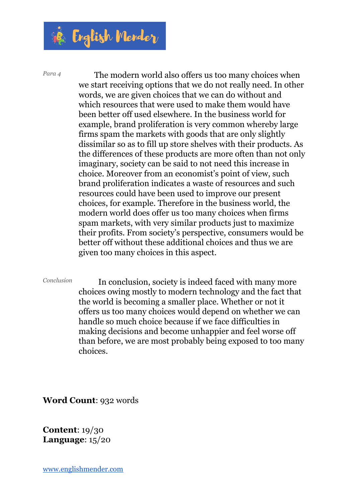

*Para <sup>4</sup>* The modern world also offers us too many choices when we start receiving options that we do not really need. In other words, we are given choices that we can do without and which resources that were used to make them would have been better off used elsewhere. In the business world for example, brand proliferation is very common whereby large firms spam the markets with goods that are only slightly dissimilar so as to fill up store shelves with their products. As the differences of these products are more often than not only imaginary, society can be said to not need this increase in choice. Moreover from an economist's point of view, such brand proliferation indicates a waste of resources and such resources could have been used to improve our present choices, for example. Therefore in the business world, the modern world does offer us too many choices when firms spam markets, with very similar products just to maximize their profits. From society's perspective, consumers would be better off without these additional choices and thus we are given too many choices in this aspect.

*Conclusion* In conclusion, society is indeed faced with many more choices owing mostly to modern technology and the fact that the world is becoming a smaller place. Whether or not it offers us too many choices would depend on whether we can handle so much choice because if we face difficulties in making decisions and become unhappier and feel worse off than before, we are most probably being exposed to too many choices.

**Word Count**: 932 words

**Content**: 19/30 **Language**: 15/20